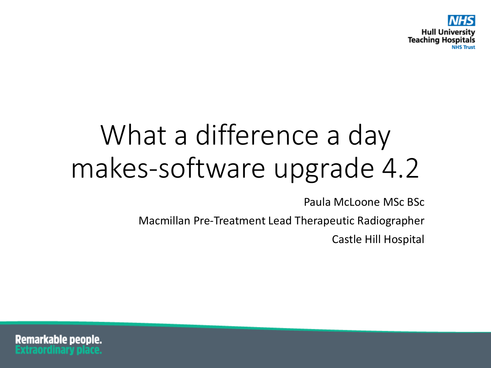

# What a difference a day makes-software upgrade 4.2

Paula McLoone MSc BSc

Macmillan Pre-Treatment Lead Therapeutic Radiographer

Castle Hill Hospital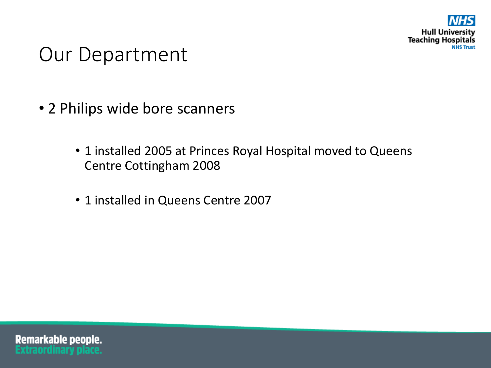

#### Our Department

- 2 Philips wide bore scanners
	- 1 installed 2005 at Princes Royal Hospital moved to Queens Centre Cottingham 2008
	- 1 installed in Queens Centre 2007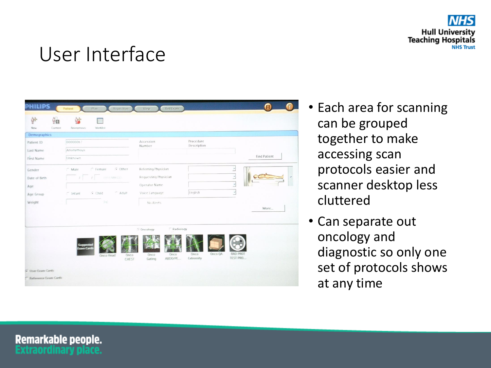

#### User Interface

| Current:<br>Now            | Worklist<br>Anometricus        |                         |                              |                     |
|----------------------------|--------------------------------|-------------------------|------------------------------|---------------------|
| Demographics<br>Patient ID | 00000067                       | Accession<br>Number     | Procedure<br>Description     |                     |
| Last Name                  | Anonymous                      |                         |                              |                     |
| First Name                 | Unknown.                       |                         |                              | <b>Find Patient</b> |
| Gender                     | G Other<br>C Male<br>C Female  | Referring Physician     |                              | Ľ                   |
| Date of Birth              | $I$ $I$ crownwide              | Requesting Physician    |                              | $\leq$              |
| Age                        |                                | Operator Name           |                              | Ľ                   |
| Age Group                  | $Adu$<br>$G$ Child<br>C Intant | Voice Language          | Inglish                      | ₹                   |
| Weight                     | (Fall                          | No Alerts               |                              |                     |
|                            |                                |                         |                              | More                |
|                            |                                |                         |                              |                     |
|                            |                                | Radiology<br>C Oncology |                              |                     |
|                            |                                |                         |                              |                     |
|                            |                                |                         |                              |                     |
|                            |                                |                         |                              | RAD PROT            |
|                            | Groco-<br><b>Gruco Head</b>    | Onco<br>Onco<br>ABOO/PE | Onco OA<br>Onco<br>Extremity | TEST PRO            |

- Each area for scanning can be grouped together to make accessing scan protocols easier and scanner desktop less cluttered
- Can separate out oncology and diagnostic so only one set of protocols shows at any time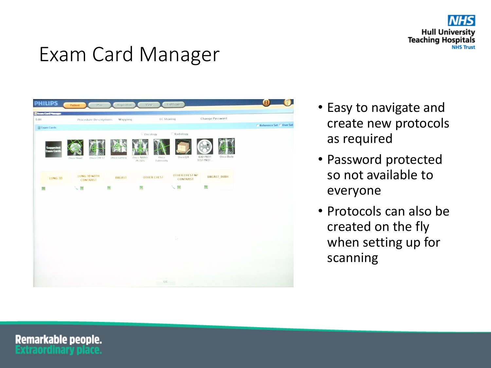

### Exam Card Manager



- Easy to navigate and create new protocols as required
- Password protected so not available to everyone
- Protocols can also be created on the fly when setting up for scanning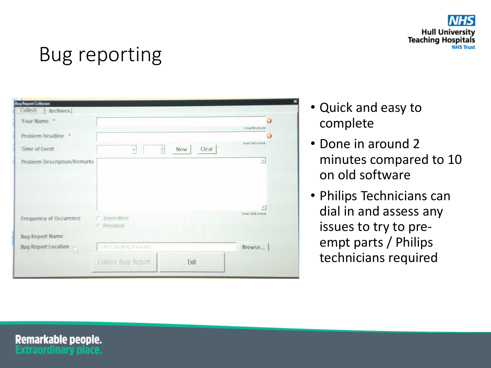

## Bug reporting

| Your Name                                                                                      |                                       | Ω<br>(max 56 chars) |
|------------------------------------------------------------------------------------------------|---------------------------------------|---------------------|
| Problem Headline *                                                                             |                                       |                     |
| Time of Event                                                                                  | $\frac{1}{\pi}$<br>Clear<br>Now<br>×. | (max 166 chars)     |
| <b>Problem Description/Remarks</b>                                                             |                                       | $\triangle$         |
|                                                                                                |                                       |                     |
|                                                                                                |                                       |                     |
|                                                                                                |                                       | $\sim$              |
|                                                                                                | ○ Intermittent<br>G Persistent        | (max 1000 chars)    |
|                                                                                                |                                       |                     |
| Frequency of Occurence<br><b>Bug Report Name</b><br><b>Bug Report Location</b><br>$\mathbb{D}$ | D:\Pms\BugRep\Packages                | Browse              |

- Quick and easy to complete
- Done in around 2 minutes compared to 10 on old software
- Philips Technicians can dial in and assess any issues to try to preempt parts / Philips technicians required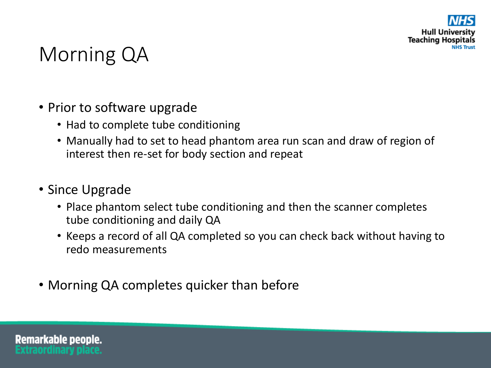

#### Morning QA

- Prior to software upgrade
	- Had to complete tube conditioning
	- Manually had to set to head phantom area run scan and draw of region of interest then re-set for body section and repeat
- Since Upgrade
	- Place phantom select tube conditioning and then the scanner completes tube conditioning and daily QA
	- Keeps a record of all QA completed so you can check back without having to redo measurements
- Morning QA completes quicker than before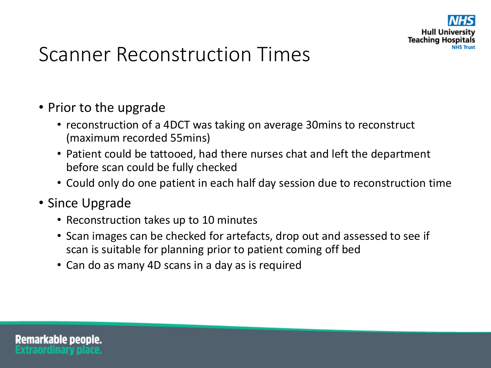

#### Scanner Reconstruction Times

- Prior to the upgrade
	- reconstruction of a 4DCT was taking on average 30mins to reconstruct (maximum recorded 55mins)
	- Patient could be tattooed, had there nurses chat and left the department before scan could be fully checked
	- Could only do one patient in each half day session due to reconstruction time
- Since Upgrade
	- Reconstruction takes up to 10 minutes
	- Scan images can be checked for artefacts, drop out and assessed to see if scan is suitable for planning prior to patient coming off bed
	- Can do as many 4D scans in a day as is required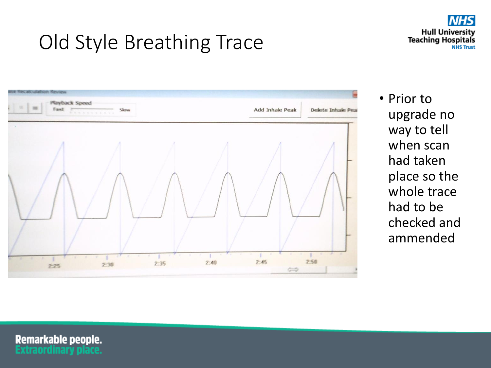## Old Style Breathing Trace





• Prior to upgrade no way to tell when scan had taken place so the whole trace had to be checked and ammended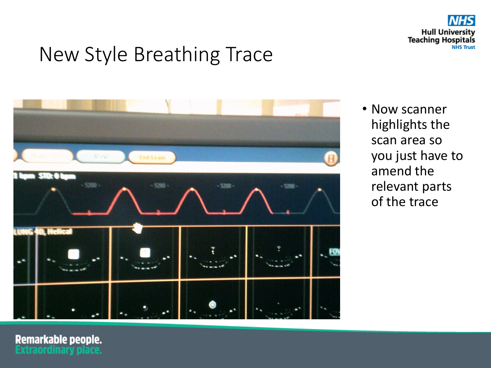

## New Style Breathing Trace



• Now scanner highlights the scan area so you just have to amend the relevant parts of the trace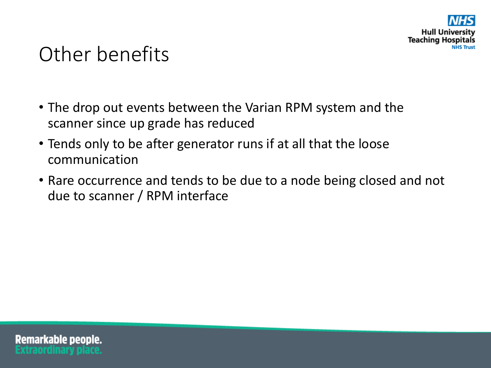

#### Other benefits

- The drop out events between the Varian RPM system and the scanner since up grade has reduced
- Tends only to be after generator runs if at all that the loose communication
- Rare occurrence and tends to be due to a node being closed and not due to scanner / RPM interface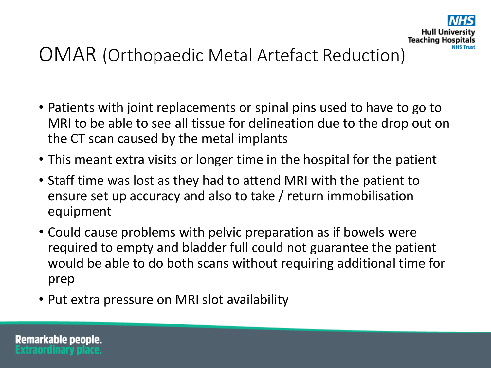

#### OMAR (Orthopaedic Metal Artefact Reduction)

- Patients with joint replacements or spinal pins used to have to go to MRI to be able to see all tissue for delineation due to the drop out on the CT scan caused by the metal implants
- This meant extra visits or longer time in the hospital for the patient
- Staff time was lost as they had to attend MRI with the patient to ensure set up accuracy and also to take / return immobilisation equipment
- Could cause problems with pelvic preparation as if bowels were required to empty and bladder full could not guarantee the patient would be able to do both scans without requiring additional time for prep
- Put extra pressure on MRI slot availability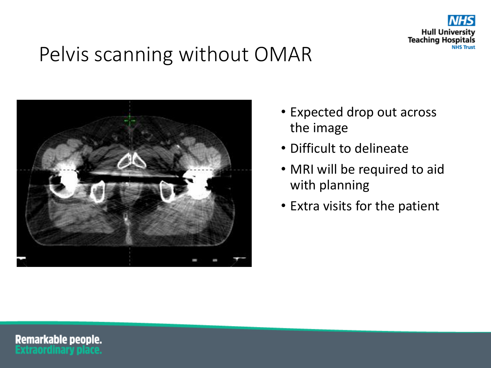

## Pelvis scanning without OMAR



- Expected drop out across the image
- Difficult to delineate
- MRI will be required to aid with planning
- Extra visits for the patient

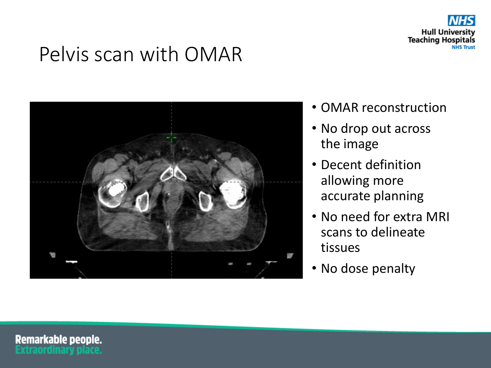

#### Pelvis scan with OMAR



- OMAR reconstruction
- No drop out across the image
- Decent definition allowing more accurate planning
- No need for extra MRI scans to delineate tissues
- No dose penalty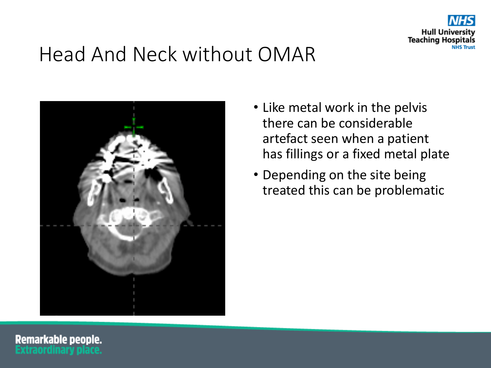

## Head And Neck without OMAR



- Like metal work in the pelvis there can be considerable artefact seen when a patient has fillings or a fixed metal plate
- Depending on the site being treated this can be problematic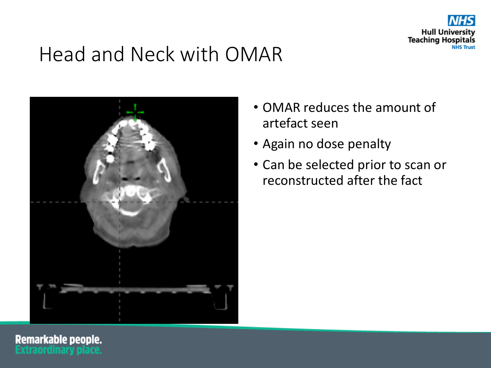

## Head and Neck with OMAR



- OMAR reduces the amount of artefact seen
- Again no dose penalty
- Can be selected prior to scan or reconstructed after the fact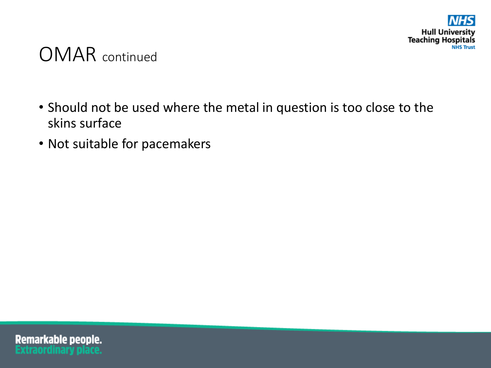

#### OMAR continued

- Should not be used where the metal in question is too close to the skins surface
- Not suitable for pacemakers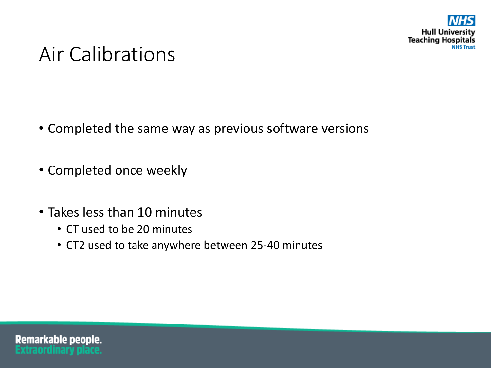

#### Air Calibrations

- Completed the same way as previous software versions
- Completed once weekly
- Takes less than 10 minutes
	- CT used to be 20 minutes
	- CT2 used to take anywhere between 25-40 minutes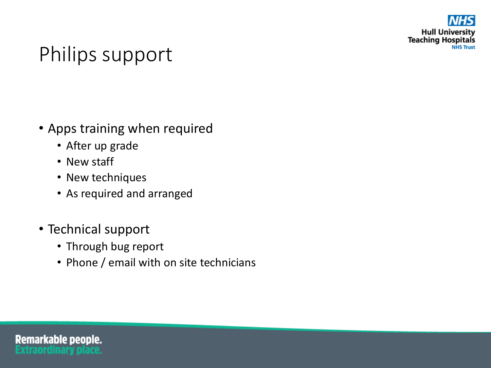

## Philips support

- Apps training when required
	- After up grade
	- New staff
	- New techniques
	- As required and arranged
- Technical support
	- Through bug report
	- Phone / email with on site technicians